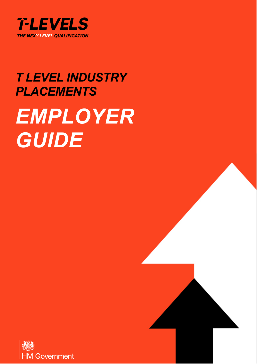

# *T LEVEL INDUSTRY PLACEMENTS EMPLOYER GUIDE*

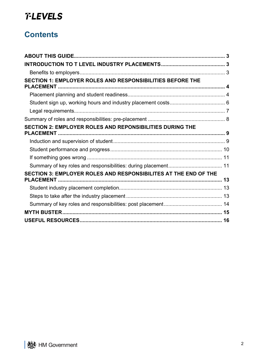# **Contents**

| SECTION 1: EMPLOYER ROLES AND RESPONSIBILITIES BEFORE THE       |  |
|-----------------------------------------------------------------|--|
|                                                                 |  |
|                                                                 |  |
|                                                                 |  |
|                                                                 |  |
| SECTION 2: EMPLOYER ROLES AND REPONSIBILITIES DURING THE        |  |
|                                                                 |  |
|                                                                 |  |
|                                                                 |  |
|                                                                 |  |
| SECTION 3: EMPLOYER ROLES AND RESPONSIBILITES AT THE END OF THE |  |
|                                                                 |  |
|                                                                 |  |
|                                                                 |  |
|                                                                 |  |
|                                                                 |  |
|                                                                 |  |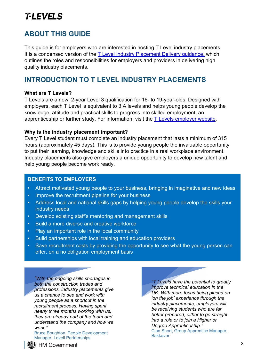# <span id="page-2-0"></span>**ABOUT THIS GUIDE**

This guide is for employers who are interested in hosting T Level industry placements. It is a condensed version of the [T Level Industry Placement Delivery guidance,](https://www.gov.uk/government/publications/t-level-industry-placements-delivery-guidance) which outlines the roles and responsibilities for employers and providers in delivering high quality industry placements.

### <span id="page-2-1"></span>**INTRODUCTION TO T LEVEL INDUSTRY PLACEMENTS**

#### **What are T Levels?**

T Levels are a new, 2-year Level 3 qualification for 16- to 19-year-olds. Designed with employers, each T Level is equivalent to 3 A levels and helps young people develop the knowledge, attitude and practical skills to progress into skilled employment, an apprenticeship or further study. For information, visit the  $T$  Levels employer website.

#### **Why is the industry placement important?**

Every T Level student must complete an industry placement that lasts a minimum of 315 hours (approximately 45 days). This is to provide young people the invaluable opportunity to put their learning, knowledge and skills into practice in a real workplace environment. Industry placements also give employers a unique opportunity to develop new talent and help young people become work ready.

#### **BENEFITS TO EMPLOYERS**

- Attract motivated young people to your business, bringing in imaginative and new ideas
- Improve the recruitment pipeline for your business
- Address local and national skills gaps by helping young people develop the skills your industry needs
- Develop existing staff's mentoring and management skills
- Build a more diverse and creative workforce
- Play an important role in the local community
- Build partnerships with local training and education providers
- Save recruitment costs by providing the opportunity to see what the young person can offer, on a no obligation employment basis

*"With the ongoing skills shortages in both the construction trades and professions, industry placements give us a chance to see and work with young people as a shortcut in the recruitment process. Having spent nearly three months working with us, they are already part of the team and understand the company and how we work."*

Bruce Boughton, People Development Manager, Lovell Partnerships

*"T Levels have the potential to greatly improve technical education in the UK. With more focus being placed on 'on the job' experience through the industry placements, employers will be receiving students who are far better prepared, either to go straight into a role or to join a Higher or Degree Apprenticeship."* Cian Short, Group Apprentice Manager, **Bakkavor** 

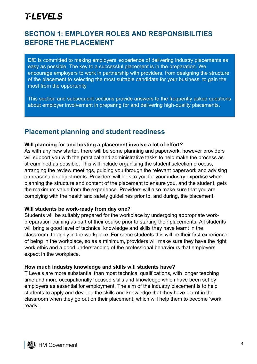## <span id="page-3-0"></span>**SECTION 1: EMPLOYER ROLES AND RESPONSIBILITIES BEFORE THE PLACEMENT**

DfE is committed to making employers' experience of delivering industry placements as easy as possible. The key to a successful placement is in the preparation. We encourage employers to work in partnership with providers, from designing the structure of the placement to selecting the most suitable candidate for your business, to gain the most from the opportunity

This section and subsequent sections provide answers to the frequently asked questions about employer involvement in preparing for and delivering high-quality placements.

### <span id="page-3-1"></span>**Placement planning and student readiness**

#### **Will planning for and hosting a placement involve a lot of effort?**

As with any new starter, there will be some planning and paperwork, however providers will support you with the practical and administrative tasks to help make the process as streamlined as possible. This will include organising the student selection process, arranging the review meetings, guiding you through the relevant paperwork and advising on reasonable adjustments. Providers will look to you for your industry expertise when planning the structure and content of the placement to ensure you, and the student, gets the maximum value from the experience. Providers will also make sure that you are complying with the health and safety guidelines prior to, and during, the placement.

#### **Will students be work-ready from day one?**

Students will be suitably prepared for the workplace by undergoing appropriate workpreparation training as part of their course prior to starting their placements. All students will bring a good level of technical knowledge and skills they have learnt in the classroom, to apply in the workplace. For some students this will be their first experience of being in the workplace, so as a minimum, providers will make sure they have the right work ethic and a good understanding of the professional behaviours that employers expect in the workplace.

#### **How much industry knowledge and skills will students have?**

T Levels are more substantial than most technical qualifications, with longer teaching time and more occupationally focused skills and knowledge which have been set by employers as essential for employment. The aim of the industry placement is to help students to apply and develop the skills and knowledge that they have learnt in the classroom when they go out on their placement, which will help them to become 'work ready'.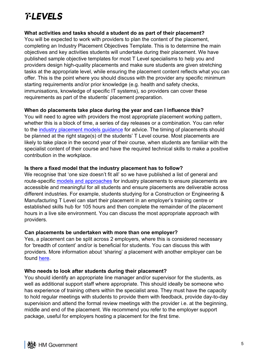#### **What activities and tasks should a student do as part of their placement?**

You will be expected to work with providers to plan the content of the placement, completing an Industry Placement Objectives Template. This is to determine the main objectives and key activities students will undertake during their placement. We have published sample objective templates for most T Level specialisms to help you and providers design high-quality placements and make sure students are given stretching tasks at the appropriate level, while ensuring the placement content reflects what you can offer. This is the point where you should discuss with the provider any specific minimum starting requirements and/or prior knowledge (e.g. health and safety checks, immunisations, knowledge of specific IT systems), so providers can cover these requirements as part of the students' placement preparation.

#### **When do placements take place during the year and can I influence this?**

You will need to agree with providers the most appropriate placement working pattern, whether this is a block of time, a series of day releases or a combination. You can refer to the [industry placement models guidance](https://employers.tlevels.gov.uk/hc/en-gb/articles/4403442955154-Which-industry-placement-models-could-work-for-you-) for advice. The timing of placements should be planned at the right stage(s) of the students' T Level course. Most placements are likely to take place in the second year of their course, when students are familiar with the specialist content of their course and have the required technical skills to make a positive contribution in the workplace.

#### **Is there a fixed model that the industry placement has to follow?**

We recognise that 'one size doesn't fit all' so we have published a list of general and route-specific [models and approaches](https://assets.publishing.service.gov.uk/government/uploads/system/uploads/attachment_data/file/904518/Annex_A_different_models_and_approaches_to_delivery.pdf) for industry placements to ensure placements are accessible and meaningful for all students and ensure placements are deliverable across different industries. For example, students studying for a Construction or Engineering & Manufacturing T Level can start their placement in an employer's training centre or established skills hub for 105 hours and then complete the remainder of the placement hours in a live site environment. You can discuss the most appropriate approach with providers.

#### **Can placements be undertaken with more than one employer?**

Yes, a placement can be split across 2 employers, where this is considered necessary for 'breadth of content' and/or is beneficial for students. You can discuss this with providers. More information about 'sharing' a placement with another employer can be found [here.](https://employers.tlevels.gov.uk/hc/en-gb/articles/4403450131218-Sharing-industry-placements-with-other-organisations)

#### **Who needs to look after students during their placement?**

You should identify an appropriate line manager and/or supervisor for the students, as well as additional support staff where appropriate. This should ideally be someone who has experience of training others within the specialist area. They must have the capacity to hold regular meetings with students to provide them with feedback, provide day-to-day supervision and attend the formal review meetings with the provider i.e. at the beginning, middle and end of the placement. We recommend you refer to the employer support package, useful for employers hosting a placement for the first time.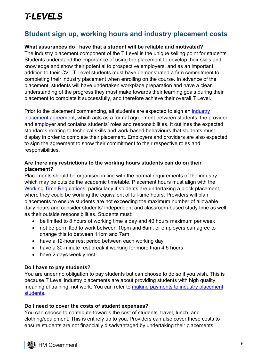### <span id="page-5-0"></span>**Student sign up, working hours and industry placement costs**

#### **What assurances do I have that a student will be reliable and motivated?**

The industry placement component of the T Level is the unique selling point for students. Students understand the importance of using the placement to develop their skills and knowledge and show their potential to prospective employers, and as an important addition to their CV. T Level students must have demonstrated a firm commitment to completing their industry placement when enrolling on the course. In advance of the placement, students will have undertaken workplace preparation and have a clear understanding of the progress they must make towards their learning goals during their placement to complete it successfully, and therefore achieve their overall T Level.

Prior to the placement commencing, all students are expected to sign an [industry](https://assets.publishing.service.gov.uk/government/uploads/system/uploads/attachment_data/file/896917/Annex_E_Industry_placement_agreement_template.odt)  [placement agreement,](https://assets.publishing.service.gov.uk/government/uploads/system/uploads/attachment_data/file/896917/Annex_E_Industry_placement_agreement_template.odt) which acts as a formal agreement between students, the provider and employer and contains students' roles and responsibilities. It outlines the expected standards relating to technical skills and work-based behaviours that students must display in order to complete their placement. Employers and providers are also expected to sign the agreement to show their commitment to their respective roles and responsibilities.

#### **Are there any restrictions to the working hours students can do on their placement?**

Placements should be organised in line with the normal requirements of the industry, which may be outside the academic timetable. Placement hours must align with the [Working Time Regulations,](https://www.hse.gov.uk/contact/faqs/workingtimedirective.htm) particularly if students are undertaking a block placement, where they could be working the equivalent of full-time hours. Providers will plan placements to ensure students are not exceeding the maximum number of allowable daily hours and consider students' independent and classroom-based study time as well as their outside responsibilities. Students must:

- be limited to 8 hours of working time a day and 40 hours maximum per week
- not be permitted to work between 10pm and 6am, or employers can agree to change this to between 11pm and 7am
- have a 12-hour rest period between each working day
- have a 30-minute rest break if working for more than 4.5 hours
- have 2 days weekly rest

#### **Do I have to pay students?**

You are under no obligation to pay students but can choose to do so if you wish. This is because T Level industry placements are about providing students with high quality, meaningful training, not work. You can refer to [making payments to industry placement](https://employers.tlevels.gov.uk/hc/en-gb/articles/4403450119826-Making-payments-to-industry-placement-students)  [students.](https://employers.tlevels.gov.uk/hc/en-gb/articles/4403450119826-Making-payments-to-industry-placement-students)

#### **Do I need to cover the costs of student expenses?**

You can choose to contribute towards the cost of students' travel, lunch, and clothing/equipment. This is entirely up to you. Providers can also cover these costs to ensure students are not financially disadvantaged by undertaking their placements.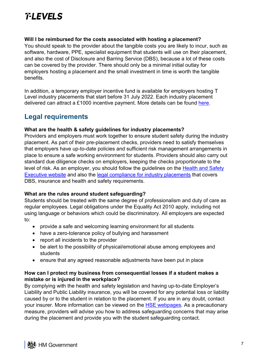#### **Will I be reimbursed for the costs associated with hosting a placement?**

You should speak to the provider about the tangible costs you are likely to incur, such as software, hardware, PPE, specialist equipment that students will use on their placement, and also the cost of Disclosure and Barring Service (DBS), because a lot of these costs can be covered by the provider. There should only be a minimal initial outlay for employers hosting a placement and the small investment in time is worth the tangible benefits.

In addition, a temporary employer incentive fund is available for employers hosting T Level industry placements that start before 31 July 2022. Each industry placement delivered can attract a £1000 incentive payment. More details can be found [here.](http://www.gov.uk/government/publications/employer-incentive-payments-for-employers-offering-a-t-level-industry-placement)

### <span id="page-6-0"></span>**Legal requirements**

#### **What are the health & safety guidelines for industry placements?**

Providers and employers must work together to ensure student safety during the industry placement. As part of their pre-placement checks, providers need to satisfy themselves that employers have up-to-date policies and sufficient risk management arrangements in place to ensure a safe working environment for students. Providers should also carry out standard due diligence checks on employers, keeping the checks proportionate to the level of risk. As an employer, you should follow the guidelines on the [Health and Safety](https://www.hse.gov.uk/pubns/indg364.htm)  [Executive](https://www.hse.gov.uk/pubns/indg364.htm) website and also the [legal compliance for industry placements](https://employers.tlevels.gov.uk/hc/en-gb/articles/4403442891794-Legal-compliance-for-industry-placements) that covers DBS, insurance and health and safety requirements.

#### **What are the rules around student safeguarding?**

Students should be treated with the same degree of professionalism and duty of care as regular employees. Legal obligations under the Equality Act 2010 apply, including not using language or behaviors which could be discriminatory. All employers are expected to:

- provide a safe and welcoming learning environment for all students
- have a zero-tolerance policy of bullying and harassment
- report all incidents to the provider
- be alert to the possibility of physical/emotional abuse among employees and students
- ensure that any agreed reasonable adjustments have been put in place

#### **How can I protect my business from consequential losses if a student makes a mistake or is injured in the workplace?**

By complying with the health and safety legislation and having up-to-date Employer's Liability and Public Liability insurance, you will be covered for any potential loss or liability caused by or to the student in relation to the placement. If you are in any doubt, contact your insurer. More information can be viewed on the **HSE webpages**. As a precautionary measure, providers will advise you how to address safeguarding concerns that may arise during the placement and provide you with the student safeguarding contact.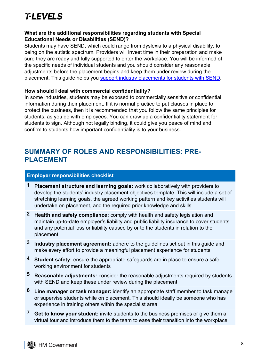#### **What are the additional responsibilities regarding students with Special Educational Needs or Disabilities (SEND)?**

Students may have SEND, which could range from dyslexia to a physical disability, to being on the autistic spectrum. Providers will invest time in their preparation and make sure they are ready and fully supported to enter the workplace. You will be informed of the specific needs of individual students and you should consider any reasonable adjustments before the placement begins and keep them under review during the placement. This guide helps you [support industry placements for students with SEND.](https://employers.tlevels.gov.uk/hc/en-gb/articles/4403442966290-Supporting-industry-placement-students-with-Special-Educational-Needs-and-Disabilities)

#### **How should I deal with commercial confidentiality?**

In some industries, students may be exposed to commercially sensitive or confidential information during their placement. If it is normal practice to put clauses in place to protect the business, then it is recommended that you follow the same principles for students, as you do with employees. You can draw up a confidentiality statement for students to sign. Although not legally binding, it could give you peace of mind and confirm to students how important confidentiality is to your business.

### <span id="page-7-0"></span>**SUMMARY OF ROLES AND RESPONSIBILITIES: PRE-PLACEMENT**

#### **Employer responsibilities checklist**

- **1 Placement structure and learning goals:** work collaboratively with providers to develop the students' industry placement objectives template. This will include a set of stretching learning goals, the agreed working pattern and key activities students will undertake on placement, and the required prior knowledge and skills
- **2 Health and safety compliance:** comply with health and safety legislation and maintain up-to-date employer's liability and public liability insurance to cover students and any potential loss or liability caused by or to the students in relation to the placement
- **3 Industry placement agreement:** adhere to the guidelines set out in this guide and make every effort to provide a meaningful placement experience for students
- **4 Student safety:** ensure the appropriate safeguards are in place to ensure a safe working environment for students
- **5 Reasonable adjustments:** consider the reasonable adjustments required by students with SEND and keep these under review during the placement
- **6 Line manager or task manager:** identify an appropriate staff member to task manage or supervise students while on placement. This should ideally be someone who has experience in training others within the specialist area
- **7 Get to know your student:** invite students to the business premises or give them a virtual tour and introduce them to the team to ease their transition into the workplace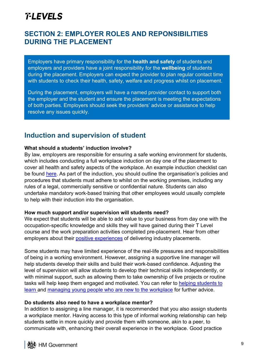### <span id="page-8-0"></span>**SECTION 2: EMPLOYER ROLES AND REPONSIBILITIES DURING THE PLACEMENT**

Employers have primary responsibility for the **health and safety** of students and employers and providers have a joint responsibility for the **wellbeing** of students during the placement. Employers can expect the provider to plan regular contact time with students to check their health, safety, welfare and progress whilst on placement.

During the placement, employers will have a named provider contact to support both the employer and the student and ensure the placement is meeting the expectations of both parties. Employers should seek the providers' advice or assistance to help resolve any issues quickly.

### <span id="page-8-1"></span>**Induction and supervision of student**

#### **What should a students' induction involve?**

By law, employers are responsible for ensuring a safe working environment for students, which includes conducting a full workplace induction on day one of the placement to cover all health and safety aspects of the workplace. An example induction checklist can be found [here.](https://www.aoc.co.uk/sites/default/files/Student%20induction%20checklist.docx) As part of the induction, you should outline the organisation's policies and procedures that students must adhere to whilst on the working premises, including any rules of a legal, commercially sensitive or confidential nature. Students can also undertake mandatory work-based training that other employees would usually complete to help with their induction into the organisation.

#### **How much support and/or supervision will students need?**

We expect that students will be able to add value to your business from day one with the occupation-specific knowledge and skills they will have gained during their T Level course and the work preparation activities completed pre-placement. Hear from other employers about their [positive experiences](https://employers.tlevels.gov.uk/hc/en-gb/categories/4403442822802-Skill-areas-and-case-studies) of delivering industry placements.

Some students may have limited experience of the real-life pressures and responsibilities of being in a working environment. However, assigning a supportive line manager will help students develop their skills and build their work-based confidence. Adjusting the level of supervision will allow students to develop their technical skills independently, or with minimal support, such as allowing them to take ownership of live projects or routine tasks will help keep them engaged and motivated. You can refer to [helping students to](https://employers.tlevels.gov.uk/hc/en-gb/articles/4403450113426-Helping-students-learn)  [learn](https://employers.tlevels.gov.uk/hc/en-gb/articles/4403450113426-Helping-students-learn) and [managing young people who are new to the workplace](https://employers.tlevels.gov.uk/hc/en-gb/articles/4403450099090-Managing-young-people-who-are-new-to-the-workplace) for further advice.

#### **Do students also need to have a workplace mentor?**

In addition to assigning a line manager, it is recommended that you also assign students a workplace mentor. Having access to this type of informal working relationship can help students settle in more quickly and provide them with someone, akin to a peer, to communicate with, enhancing their overall experience in the workplace. Good practice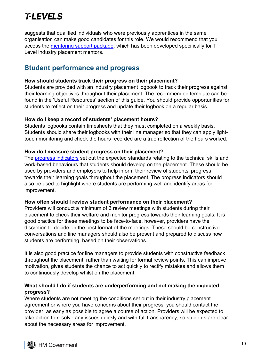suggests that qualified individuals who were previously apprentices in the same organisation can make good candidates for this role. We would recommend that you access the [mentoring support package,](https://www.improvingtechnicaleducation.org.uk/support-for-industry-placement-mentors) which has been developed specifically for T Level industry placement mentors.

### <span id="page-9-0"></span>**Student performance and progress**

#### **How should students track their progress on their placement?**

Students are provided with an industry placement logbook to track their progress against their learning objectives throughout their placement. The recommended template can be found in the 'Useful Resources' section of this guide. You should provide opportunities for students to reflect on their progress and update their logbook on a regular basis.

#### **How do I keep a record of students' placement hours?**

Students logbooks contain timesheets that they must completed on a weekly basis. Students should share their logbooks with their line manager so that they can apply lighttouch monitoring and check the hours recorded are a true reflection of the hours worked.

#### **How do I measure student progress on their placement?**

The **progress indicators** set out the expected standards relating to the technical skills and work-based behaviours that students should develop on the placement. These should be used by providers and employers to help inform their review of students' progress towards their learning goals throughout the placement. The progress indicators should also be used to highlight where students are performing well and identify areas for improvement.

#### **How often should I review student performance on their placement?**

Providers will conduct a minimum of 3 review meetings with students during their placement to check their welfare and monitor progress towards their learning goals. It is good practice for these meetings to be face-to-face, however, providers have the discretion to decide on the best format of the meetings. These should be constructive conversations and line managers should also be present and prepared to discuss how students are performing, based on their observations.

It is also good practice for line managers to provide students with constructive feedback throughout the placement, rather than waiting for formal review points. This can improve motivation, gives students the chance to act quickly to rectify mistakes and allows them to continuously develop whilst on the placement.

#### **What should I do if students are underperforming and not making the expected progress?**

Where students are not meeting the conditions set out in their industry placement agreement or where you have concerns about their progress, you should contact the provider, as early as possible to agree a course of action. Providers will be expected to take action to resolve any issues quickly and with full transparency, so students are clear about the necessary areas for improvement.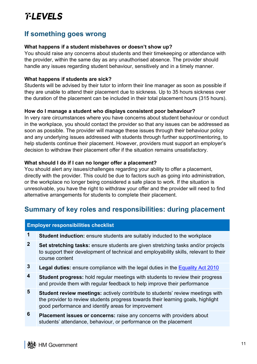### <span id="page-10-0"></span>**If something goes wrong**

#### **What happens if a student misbehaves or doesn't show up?**

You should raise any concerns about students and their timekeeping or attendance with the provider, within the same day as any unauthorised absence. The provider should handle any issues regarding student behaviour, sensitively and in a timely manner.

#### **What happens if students are sick?**

**Employer responsibilities checklist**

Students will be advised by their tutor to inform their line manager as soon as possible if they are unable to attend their placement due to sickness. Up to 35 hours sickness over the duration of the placement can be included in their total placement hours (315 hours).

#### **How do I manage a student who displays consistent poor behaviour?**

In very rare circumstances where you have concerns about student behaviour or conduct in the workplace, you should contact the provider so that any issues can be addressed as soon as possible. The provider will manage these issues through their behaviour policy and any underlying issues addressed with students through further support/mentoring, to help students continue their placement. However, providers must support an employer's decision to withdraw their placement offer if the situation remains unsatisfactory.

#### **What should I do if I can no longer offer a placement?**

You should alert any issues/challenges regarding your ability to offer a placement, directly with the provider. This could be due to factors such as going into administration, or the workplace no longer being considered a safe place to work. If the situation is unresolvable, you have the right to withdraw your offer and the provider will need to find alternative arrangements for students to complete their placement.

### <span id="page-10-1"></span>**Summary of key roles and responsibilities: during placement**

| <b>Student induction:</b> ensure students are suitably inducted to the workplace                                                                                                                                                 |
|----------------------------------------------------------------------------------------------------------------------------------------------------------------------------------------------------------------------------------|
| Set stretching tasks: ensure students are given stretching tasks and/or projects<br>to support their development of technical and employability skills, relevant to their<br>course content                                      |
| <b>Legal duties:</b> ensure compliance with the legal duties in the Equality Act 2010                                                                                                                                            |
| <b>Student progress:</b> hold regular meetings with students to review their progress<br>and provide them with regular feedback to help improve their performance                                                                |
| <b>Student review meetings:</b> actively contribute to students' review meetings with<br>the provider to review students progress towards their learning goals, highlight<br>good performance and identify areas for improvement |
| <b>Placement issues or concerns:</b> raise any concerns with providers about<br>students' attendance, behaviour, or performance on the placement                                                                                 |
|                                                                                                                                                                                                                                  |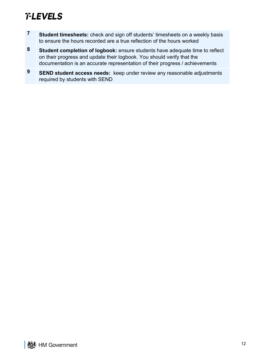- **7 Student timesheets:** check and sign off students' timesheets on a weekly basis to ensure the hours recorded are a true reflection of the hours worked
- **8 Student completion of logbook:** ensure students have adequate time to reflect on their progress and update their logbook. You should verify that the documentation is an accurate representation of their progress / achievements
- **9 SEND student access needs:** keep under review any reasonable adjustments required by students with SEND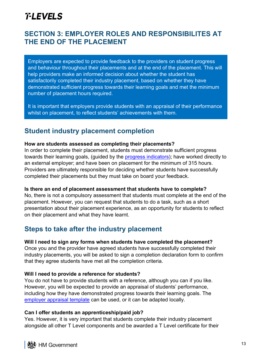### <span id="page-12-0"></span>**SECTION 3: EMPLOYER ROLES AND RESPONSIBILITES AT THE END OF THE PLACEMENT**

Employers are expected to provide feedback to the providers on student progress and behaviour throughout their placements and at the end of the placement. This will help providers make an informed decision about whether the student has satisfactorily completed their industry placement, based on whether they have demonstrated sufficient progress towards their learning goals and met the minimum number of placement hours required.

It is important that employers provide students with an appraisal of their performance whilst on placement, to reflect students' achievements with them.

### <span id="page-12-1"></span>**Student industry placement completion**

#### **How are students assessed as completing their placements?**

In order to complete their placement, students must demonstrate sufficient progress towards their learning goals, (guided by the [progress indicators\)](https://assets.publishing.service.gov.uk/government/uploads/system/uploads/attachment_data/file/896937/Annex_F_progress_indicators.pdf); have worked directly to an external employer; and have been on placement for the minimum of 315 hours. Providers are ultimately responsible for deciding whether students have successfully completed their placements but they must take on board your feedback.

#### **Is there an end of placement assessment that students have to complete?**

No, there is not a compulsory assessment that students must complete at the end of the placement. However, you can request that students to do a task, such as a short presentation about their placement experience, as an opportunity for students to reflect on their placement and what they have learnt.

### <span id="page-12-2"></span>**Steps to take after the industry placement**

#### **Will I need to sign any forms when students have completed the placement?**

Once you and the provider have agreed students have successfully completed their industry placements, you will be asked to sign a completion declaration form to confirm that they agree students have met all the completion criteria.

#### **Will I need to provide a reference for students?**

You do not have to provide students with a reference, although you can if you like. However, you will be expected to provide an appraisal of students' performance, including how they have demonstrated progress towards their learning goals. The [employer appraisal template](https://employers.tlevels.gov.uk/hc/en-gb/articles/4403450114578-End-of-placement-review-with-the-student) can be used, or it can be adapted locally.

#### **Can I offer students an apprenticeship/paid job?**

Yes. However, it is very important that students complete their industry placement alongside all other T Level components and be awarded a T Level certificate for their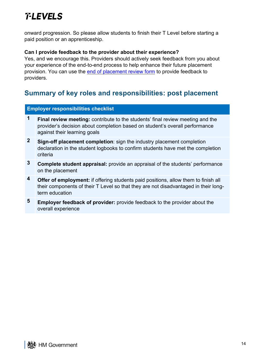onward progression. So please allow students to finish their T Level before starting a paid position or an apprenticeship.

#### **Can I provide feedback to the provider about their experience?**

Yes, and we encourage this. Providers should actively seek feedback from you about your experience of the end-to-end process to help enhance their future placement provision. You can use the [end of placement review form](https://employers.tlevels.gov.uk/hc/en-gb/articles/4403450123538-End-of-placement-review-with-the-provider) to provide feedback to providers.

### <span id="page-13-0"></span>**Summary of key roles and responsibilities: post placement**

#### **Employer responsibilities checklist**

- **1 Final review meeting:** contribute to the students' final review meeting and the provider's decision about completion based on student's overall performance against their learning goals
- **2 Sign-off placement completion**: sign the industry placement completion declaration in the student logbooks to confirm students have met the completion criteria
- **3 Complete student appraisal:** provide an appraisal of the students' performance on the placement
- **4 Offer of employment:** if offering students paid positions, allow them to finish all their components of their T Level so that they are not disadvantaged in their longterm education
- **5 Employer feedback of provider:** provide feedback to the provider about the overall experience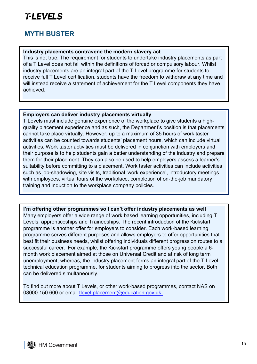### <span id="page-14-0"></span>**MYTH BUSTER**

#### **Industry placements contravene the modern slavery act**

This is not true. The requirement for students to undertake industry placements as part of a T Level does not fall within the definitions of forced or compulsory labour. Whilst industry placements are an integral part of the T Level programme for students to receive full T Level certification, students have the freedom to withdraw at any time and will instead receive a statement of achievement for the T Level components they have achieved.

#### **Employers can deliver industry placements virtually**

T Levels must include genuine experience of the workplace to give students a highquality placement experience and as such, the Department's position is that placements cannot take place virtually. However, up to a maximum of 35 hours of work taster activities can be counted towards students' placement hours, which can include virtual activities. Work taster activities must be delivered in conjunction with employers and their purpose is to help students gain a better understanding of the industry and prepare them for their placement. They can also be used to help employers assess a learner's suitability before committing to a placement. Work taster activities can include activities such as job-shadowing, site visits, traditional 'work experience', introductory meetings with employees, virtual tours of the workplace, completion of on-the-job mandatory training and induction to the workplace company policies.

**I'm offering other programmes so I can't offer industry placements as well** Many employers offer a wide range of work based learning opportunities, including T Levels, apprenticeships and Traineeships. The recent introduction of the Kickstart programme is another offer for employers to consider. Each work-based learning programme serves different purposes and allows employers to offer opportunities that best fit their business needs, whilst offering individuals different progression routes to a successful career. For example, the Kickstart programme offers young people a 6 month work placement aimed at those on Universal Credit and at risk of long term unemployment, whereas, the industry placement forms an integral part of the T Level technical education programme, for students aiming to progress into the sector. Both can be delivered simultaneously.

To find out more about T Levels, or other work-based programmes, contact NAS on 08000 150 600 or email [tlevel.placement@education.gov.uk.](mailto:tlevel.placement@education.gov.uk)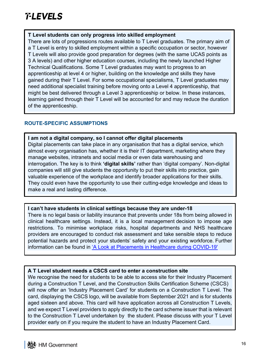#### **T Level students can only progress into skilled employment**

There are lots of progressions routes available to T Level graduates. The primary aim of a T Level is entry to skilled employment within a specific occupation or sector, however T Levels will also provide good preparation for degrees (with the same UCAS points as 3 A levels) and other higher education courses, including the newly launched Higher Technical Qualifications. Some T Level graduates may want to progress to an apprenticeship at level 4 or higher, building on the knowledge and skills they have gained during their T Level. For some occupational specialisms, T Level graduates may need additional specialist training before moving onto a Level 4 apprenticeship, that might be best delivered through a Level 3 apprenticeship or below. In these instances, learning gained through their T Level will be accounted for and may reduce the duration of the apprenticeship.

#### **ROUTE-SPECIFIC ASSUMPTIONS**

#### **I am not a digital company, so I cannot offer digital placements**

Digital placements can take place in any organisation that has a digital service, which almost every organisation has, whether it is their IT department, marketing where they manage websites, intranets and social media or even data warehousing and interrogation. The key is to think **'digital skills'** rather than 'digital company'. Non-digital companies will still give students the opportunity to put their skills into practice, gain valuable experience of the workplace and identify broader applications for their skills. They could even have the opportunity to use their cutting-edge knowledge and ideas to make a real and lasting difference.

#### **I can't have students in clinical settings because they are under-18**

There is no legal basis or liability insurance that prevents under 18s from being allowed in clinical healthcare settings. Instead, it is a local management decision to impose age restrictions. To minimise workplace risks, hospital departments and NHS healthcare providers are encouraged to conduct risk assessment and take sensible steps to reduce potential hazards and protect your students' safety and your existing workforce. Further information can be found in ['A Look at Placements in Healthcare during COVID-19'](https://employers.tlevels.gov.uk/hc/en-gb/articles/4403442911378-Industry-placements-in-healthcare-during-coronavirus-COVID-19-)

#### <span id="page-15-0"></span>**A T Level student needs a CSCS card to enter a construction site**

We recognise the need for students to be able to access site for their Industry Placement during a Construction T Level, and the Construction Skills Certification Scheme (CSCS) will now offer an 'Industry Placement Card' for students on a Construction T Level. The card, displaying the CSCS logo, will be available from September 2021 and is for students aged sixteen and above. This card will have application across all Construction T Levels, and we expect T Level providers to apply directly to the card scheme issuer that is relevant to the Construction T Level undertaken by the student. Please discuss with your T Level provider early on if you require the student to have an Industry Placement Card.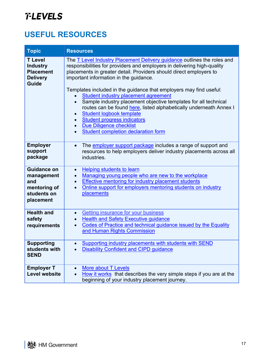# **USEFUL RESOURCES**

| <b>Topic</b>                                                                             | <b>Resources</b>                                                                                                                                                                                                                                                                                                                                                                                                                                                                                                                                                                                                                                                            |
|------------------------------------------------------------------------------------------|-----------------------------------------------------------------------------------------------------------------------------------------------------------------------------------------------------------------------------------------------------------------------------------------------------------------------------------------------------------------------------------------------------------------------------------------------------------------------------------------------------------------------------------------------------------------------------------------------------------------------------------------------------------------------------|
| <b>T</b> Level<br><b>Industry</b><br><b>Placement</b><br><b>Delivery</b><br><b>Guide</b> | The T Level Industry Placement Delivery guidance outlines the roles and<br>responsibilities for providers and employers in delivering high-quality<br>placements in greater detail. Providers should direct employers to<br>important information in the guidance.<br>Templates included in the guidance that employers may find useful:<br>Student industry placement agreement<br>Sample industry placement objective templates for all technical<br>routes can be found here, listed alphabetically underneath Annex I<br>Student logbook template<br><b>Student progress indicators</b><br><b>Due Diligence checklist</b><br><b>Student completion declaration form</b> |
| <b>Employer</b><br>support<br>package                                                    | The employer support package includes a range of support and<br>$\bullet$<br>resources to help employers deliver industry placements across all<br>industries.                                                                                                                                                                                                                                                                                                                                                                                                                                                                                                              |
| <b>Guidance on</b><br>management<br>and<br>mentoring of<br>students on<br>placement      | Helping students to learn<br>$\bullet$<br>Managing young people who are new to the workplace<br>$\bullet$<br><b>Effective mentoring for industry placement students</b><br>$\bullet$<br>Online support for employers mentoring students on industry<br><b>placements</b>                                                                                                                                                                                                                                                                                                                                                                                                    |
| <b>Health and</b><br>safety<br>requirements                                              | Getting insurance for your business<br>$\bullet$<br><b>Health and Safety Executive guidance</b><br>Codes of Practice and technical guidance issued by the Equality<br>and Human Rights Commission                                                                                                                                                                                                                                                                                                                                                                                                                                                                           |
| <b>Supporting</b><br>students with<br><b>SEND</b>                                        | Supporting industry placements with students with SEND<br><b>Disability Confident and CIPD guidance</b>                                                                                                                                                                                                                                                                                                                                                                                                                                                                                                                                                                     |
| <b>Employer T</b><br>Level website                                                       | <b>More about T Levels</b><br>How it works that describes the very simple steps if you are at the<br>beginning of your industry placement journey.                                                                                                                                                                                                                                                                                                                                                                                                                                                                                                                          |